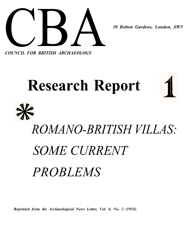

*COUNCIL FOR BRITISH ARCHAEOLOGY*

# **Research Report** *ROMANO-BRITISH VILLAS: SOME CURRENT PROBLEMS*

*Reprinted from the Archaeological News Letter, Vol. 6, No. 2 (1955).*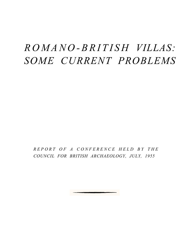## *ROMANO-BRITIS H VILLAS: SOME CURRENT PROBLEMS*

*REPORT OF A CONFERENCE HELD BY THE COUNCIL FOR BRITISH ARCHAEOLOGY, JULY, 1955*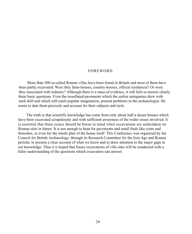#### FOREWORD

More than 500 so-called Roman villas have been found in Britain and most of them have been partly excavated. Were they farm-houses, country-houses, official residences? Or were they associated with industry? Although there is a mass of evidence, it still fails to answer clearly these basic questions. Even the tessellated pavements which the earlier antiquaries drew with such skill and which still catch popular imagination, present problems to the archaeologist. He wants to date them precisely and account for their subjects and style.

The truth is that scientific knowledge has come from only about half a dozen houses which have been excavated scrupulously and with sufficient awareness of the wider issues involved. It is essential that these issues should be borne in mind when excavations are undertaken on Roman sites in future. It is not enough to hunt for pavements and small finds like coins and brooches, or even for the whole plan of the house itself. This Conference was organized by the Council for British Archaeology, through its Research Committee for the Iron Age and Roman periods, to present a clear account of what we know and to draw attention to the major gaps in our knowledge. Thus it is hoped that future excavations of villa sites will be conducted with a fuller understanding of the questions which excavation can answer.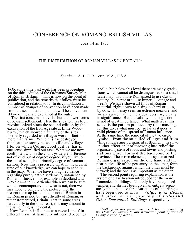### CONFERENCE ON ROMANO-BRITISH VILLAS

#### JULY 14TH, 1955

#### THE DISTRIBUTION OF ROMAN VILLAS IN BRITAIN\*

*Speaker:* A. L. F. R IVET, M.A., F.S.A.

FOR some time past work has been proceeding on the third edition of the Ordnance Survey Map of Roman Britain. <sup>1</sup> This is now on the point of publication, and the remarks that follow must be considered in relation to it. In its compilation a number of changes of convention have been made from the second edition, and it will be convenient if two of these are explained at the outset.

The first concerns not villas but the lower forms of peasant settlement. Here the situation has been revolutionized since the second edition by the excavation of the Iron Age site at Little Woodbury , <sup>2</sup>which showed that many of the sites formerly regarded as villages were in fact no more than farms. While this has destroyed the neat dichotomy between villa and village life, on which Collingwood built, it has in one sense simplified our task. What we are now confronted with in the countryside are differences not of kind but of degree; degree, if you like, on the social scale, but primarily degree of Romanization. Now this is precisely what, in the present state of our knowledge, we can hope to capture in the map. When we have enough evidence regarding purely native settlement, untouched by Roman influence—for example in Scotland and in Wales—and in particular when we can be sure what is contemporary and what is not, then we may hope to complete the picture. For the present the map has to be one not of Britain in the Roman period but specifically of Roman, or rather Romanized, Britain. That in some areas, particularly in the south-east, this may amount to the same thing is incidental.

Now Roman influence can reveal itself in different ways. A farm fully influenced becomes

a villa, but below this level there are many gradations which cannot all be distinguished on a smallscale map. Is it more Romanized to use Castor pottery and barter or to use Imperial coinage and treen? We have shown all finds of Roman material, right down to a single sherd or coin, by dots. This may seem an extreme measure, and we are aware that the individual dots vary greatly in significance. But the validity of a single dot is not of great importance. What matters, at this scale, is the pattern produced by their massing, for this gives what must be, so far as it goes, a valid picture of the spread of Roman influence. At the same time the removal of the two circle symbols from the so-called villages and from "finds indicating permanent settlement" has had another effect, that of throwing into relief the organized system of roads and towns and posting stations which formed the backbone of the province. These two elements, the systematized Roman organization on the one hand and the near-native life of the peasantry on the other, form the background against which the villas must be viewed; and the one is as important as the other.

The second point requiring explanation is the system of classification introduced for the more Romanized buildings. Not only have recognized temples and shrines been given an entirely separate symbol, but also three variations of the triangle have been used to show *Villas, Bath Houses and other remains probably of Villas* a n d *Other Substantial Buildings* respectively. This

*<sup>\*</sup>Nothing in this paper must be taken as committing the Ordnance Survey to any particular point of view or to any course of action.*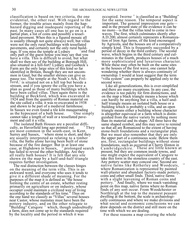classification is based on two criteria, the one evidential, the other real. With regard to the former, the trouble arises mainly from the haphazard digging and inadequate reporting of the past. In many cases all one has to go on is a partial plan, a list of coins and possibly a tessellated pavement. When this is a figured mosaic all is usually (though not quite always) well, but villas were not the only rural buildings with tessellated pavements, and certainly not the only rural build-<br>ings. If you miss the temple at Lydney and find ings. If you miss the temple at Lydney only part of the guest house you may say that you have a villa. This is difficult to avoid, but what shall we then say of the building at Borough Hill, <sup>4</sup> also situated in a hill-fort? Lydney and Gosbeck's Farm are the only large sites of this kind so far identified in Britain, though they are not uncommon in Gaul, but the smaller shrines can give us pause too. The temple at the Noah's Ark, Frilford,<sup>5</sup> is situated not on a hill top but beside a stream, and if you ignore the cella you have a plan as good as those of many buildings which have been called villas. Then again there is the building at Beckford, which was excavated in 1924 and from the quantity of Roman material on the site called a villa; it was re-excavated in 1938 and shown to be part of a medieval farmhouse. In Sussex we even found a tile kiln masquerading as the hypocaust of a bath house.  $\overline{O}$  One simply as the hypocaust of a bath house. cannot take a length of wall or a tessellated pavement and call it a villa.

The isolated Bath Houses are a peculiar diffi-<br>ltv, as Haverfield long ago pointed out. culty, as Haverfield long ago pointed out. are most common in the south-east, in Kent, Surrey and Sussex, <sup>9</sup> where stone is short, and they are usually interpreted as relating to a timber villa, the baths alone having been built of stone because of the fire danger. But in at least one case, at Highdown in Sussex,  $\frac{100}{2}$  prolonged search has failed to reveal the other buildings. Are they all really bath houses? It is felt that any site shown on the map by a half-and-half triangle requires further investigation.

The real distinction between the classes hinges on the meaning of the term villa. This is an awkward word, and everyone who uses it tends to give it a different shade of meaning. For the purposes of the map it is defined as "the house forming the centre of an estate, whether resting primarily on agriculture or on industry, whose occupier could maintain a civilized way of living according to the standards of his time." Thus on the one hand we classify as "Villas" several houses near Castor, whose mainstay must have been the pottery industry, and on the other relegate to  $t$ Building" Catsgore  $\frac{11}{10}$  which, though undoubtedly a farm, does not come up to the standards required by the locality and the period in which it was

occupied. Iwerne <sup>12</sup> is classified as a "Building" for the same reason. The temporal aspect is important. The general impression one gets and in the present state of the evidence it can be no more—is that the villas tend to come in two waves. The first, which culminates shortly after A.D.200, almost certainly represents a Romanization of Iron Age farms, of the kind encouraged by Agricola, and the houses are of a comparatively simple kind. This is frequently succeeded by a period of decay in the third century. The second wave, which begins in the third century and culminates in the fourth, produces houses of a much more sophisticated and luxurious character. While these may often be built on the same sites as the houses of the first wave, one cannot help wondering whether there is always continuity of ownership. I would at least suggest that the term "villa system" can properly be applied only to the second wave.

Like all generalizations, this is over-simplified and there are many exceptions. In any case, the evidence is too patchy for firm distinctions, and on the map a black triangle means a house which can hardly be anything but a villa, a half-andhalf triangle means an isolated bath house or a building which is probably a villa, and an open triangle means either a building whose character is altogether equivocal or a farm which is distinguished from the native variety by nothing more than its material and its shape. All three have the same shaped symbol, and this may serve to remind us that all are Romanized to the extent of having stone-built foundations and a rectangular plan. But we must also remember that they are only the upper part of a continuous scale. Below them are, first, rectangular buildings without stone foundations, such as occurred at Cherry Hinton in Cambridgeshire.<sup>13</sup> These are little known at present, but they are common inside towns, and one might expect the equivalent of Catsgore to take this form in the stoneless country of the east. Any pottery scatter may conceal one. Second are native farms like Rotherley and Woodcuts, where Romanization is represented by painted wall-plaster and abundant factory-made pottery, coins and other small finds. Third, native farms with a slight leavening of Roman coins and pottery.<sup>15</sup> And finally, where we reach vanishing point on this map, native farms where no Roman finds of any sort occur. From Woodchester or Northleigh at the top to the meanest peasant dwelling at the bottom, the scale is archaeologically continuous and where we make divisions and what social and economic conclusions we can draw depends on the district and still more on the time with which we are dealing.

For these reasons a map covering the whole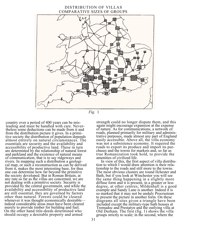

country over a period of 400 years can be misleading and must be handled with care. Nevertheless some deductions can be made from it and from the distribution picture it gives. In a primitive society the distribution of population depends almost entirely on natural circumstances. The essentials are security and the availability and accessibility of productive land. These in turn are determined by the relationship of natural forest and parkland and the existence of natural means of communication, that is to say ridgeways and rivers. In mapping such a distribution a geological map, or such a reconstruction as can be derived from it, makes the most interesting base, for thus one can determine how far beyond the primitive the society developed. But in Roman Britain, at any rate so far as the villas are concerned, we are not dealing with a primitive society. Security is provided by the central government, and while the availability and accessibility of productive land are still essential, they are governed by factors other than natural. Forests could be cleared whenever it was thought economically desirable indeed considerable areas must have been cleared merely to provide timber for building and fuel. On the other hand title-deeds determined who should occupy a desirable property and armed

strength could no longer dispute them, and this again might encourage expansion at the expense of nature. As for communications, a network of roads, planned primarily for military and administrative purposes, made almost any part of England easily accessible. Above all, the villa economy was not a subsistence economy. It required the roads to export its produce and import its purchases and the towns for markets and, so far as true Romanization took hold, to provide the amenities of civilized life.

In view of this, the first aspect of villa distribution to which I would draw attention is their relationship to the roads and still more to the towns. The most obvious clusters are round Ilchester and Bath, but if you look at Winchester you will see the same thing happening in a slightly more diffuse form and it is present, in a greater or less degree, at other centres; Mildenhall is a good example and Sandy Lane is another. Indeed it is so marked that it may not be unduly Procrustean to present the picture in another form. On these diagrams all sites given a triangle have been included except the military-type bath houses at Tremadoc and Prestatyn and the outlying villa at Old Durham. The first (fig. 1) shows the villa groups strictly to scale; in the second, where the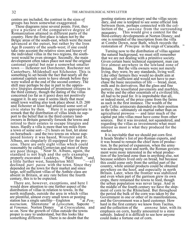centres are included, the contrast in the sizes of groups has been somewhat exaggerated. <sup>16</sup>

These diagrams raise several points. First, they give a picture of the comparative degree of Romanization attained in different parts of the country. Here the first place is taken not by the Belgic areas of the south-east, which were the most advanced at the outset, but rather by the Iron Age B country of the south-west; if one could take into account the relative sizes and luxury of the individual villas in the two regions, the southwest would be even stronger. Secondly, the main development often takes place not near the original cantonal capital but near a somewhat smaller town — Ilchester not Dorchester, Rochester not Canterbury, Mildenhall not Silchester. This is something to set beside the fact that nearly all the cantonal capitals seem to have shrunk before they were walled at the end of the second century. The shift may perhaps be due in part to the oppressive liturgies demanded of prominent citizens in the third century, though the dating of the villas concerned (so far as it goes) does not positively suggest it. In any case it seems likely that most small town walling also took place about A.D. 200 and Ilchester at least had attained some sort of civic status by then.  $\frac{17}{12}$  Here it is appropriate  $\frac{d}{dx}$  Here it is appropriate to remark that the distribution of villas lends no support to the belief that in the third century landowners in Britain generally forsook the towns and retired to their estates to escape liturgies and taxes. Hardly a villa is more than ten miles from a town of some sort—2½ hours on foot, let alone on horseback—and the two towns on whose supposed history it was based, Wroxeter and St. Albans, are singularly ill-equipped for the process. There are only eight villas which could reasonably be called Cornovian and most of them<br>are poor things. Near St. Albans, again, the standard is not high and the only examples<br>properly excavated—Lockleys,  $\frac{18}{12}$  Park Street  $\frac{28}{12}$  and properly excavated—Lockleys, a little further west, Saunderton Mill  $2<sup>1</sup>$ —all declined *pari passu* with the town. Since they depended on the town for their market and since large, self-sufficient villas of the Anthée class are absent in Britain, at any rate before the fourth century, this is to be expected.

There are, however, exceptions, and here I would draw attention to one further aspect of the distribution of villas in relation to towns. In the north midlands, outside the area in which villas are plentiful, almost every small town or posting<br>station has a single satellite—Engleton  $\frac{22}{3}$  at Penstation has a single satellite—Engleton *nocrucium,* Shenstone<sup>23</sup> at *Letocetum*, Sapcote <sup>24</sup> at *Venonae,* Norton Disney <sup>25</sup>at *Crococalana,* and so on. Now the growth of villas outside the towns proper is easy to understand, but this looks like something different. There is no doubt that the

posting stations are primary and the villas secondary, and one is tempted to see some official link between them, perhaps connected with the collection of the *annona* from the surrounding peasantry. This would give a context for the This would give a context for the third-century developments at Norton Disney; and one is reminded of the inscription from the villa at Combe Down, near Bath, which records the restoration of *Principia* in the reign of Caracalla.

Turning now to the distribution of villas against the natural background, we must still remember that we are not dealing with a primitive society. Given certain basic technical equipment, man can live almost anywhere in the lowland zone of Britain. But the villa owners were not merely living, they were, by any standards, living well. Like other farmers they would no doubt aim at being self-sufficient and would not have to purchase the basic necessities of life — bread, meat, milk and its derivatives. But the glass and fine pottery, the tessellated pavements and marbles, the wine and the other essentials of a civilized life, all had to be paid for. It is improbable that all, or indeed most, of the price came from the farms as such in the first instance. The wealth of the early Celtic aristocrats depended on their position in the tribe—ultimately on martial rather than on agricultural prowess — and later much of the capital put into villas must have come from other sources. But it was invested, not squandered, and regarding the villas as investments what must interest us most is what they produced for the market.

It is inevitable that we should put corn first. It heads Strabo's list of pre-Roman exports, and it was bound to remain the chief item of production. In the period of expansion, when the army was advancing west and north, the Roman government were more interested in the wheat production of the lowland zone than in anything else, not because soldiers lived only on bread, but because this could come only from the settled part of the country, while animal products could be obtained anywhere on the hoof, and especially in north Britain. Later, when the frontier was stabilized and even when part of the garrison grew its own crops, there remained the towns to feed, though the urban population was never large. And in the middle of the fourth century we have the shipment of corn to the Rhineland. But throughout the period the bulk of the corn was taken by the Government in one or other of its manifestations, and the Government was a hard customer. How hard in the first century we know from Tacitus,<br>and the collection of the *annona* later, with its and the collection of the emphasis on corn, hardly amounted to a state subsidy. Indeed it is difficult to see how anyone could make a fortune out of corn.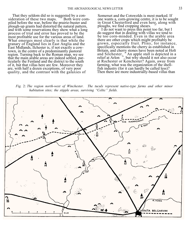That they seldom did so is suggested by a con-<br>deration of these two maps. <sup>7</sup> Both were comsideration of these two maps. piled before the war, before the prairie-buster and plough-up grants had distorted the natural pattern, and with some reservations they show what a long process of trial and error has proved to be the most profitable use for the various areas of land. What emerges most clearly is that while the granary of England lies in East Anglia and the East Midlands, Ilchester is, if not exactly a cowtown, in the centre of a predominantly pastoral region. Turning back to the Roman map, we see that the main arable areas are indeed settled, particularly the Fenland and the district to the south of it, but that villas here are few. Moreover they are, with half a dozen exceptions, of very poor quality, and the contrast with the galaxies of

Somerset and the Cotswolds is most marked. If one wants a, corn-growing centre, it is to be sought in Great Chesterford and even here, along with ploughs, we find cropping shears.

I do not want to press this point too far, but I do suggest that in dealing with villas we tend to be too corn-minded. Even in the arable area there are other crops which might profitably be grown, especially fruit. Pliny, for instance, specifically mentions the cherry as established in Britain, and cherry stones have been noted at Holt and Silchester,  $\mathbb{Z}^9$  An apple stall is depicted in a relief at Arlon  $\frac{30}{2}$ , but why should it not also occur at Rochester or Kenchester? Again, away from farming, what was the organization of the shellfish industry (for it can hardly be called less)? Then there are more industrially-based villas than

*Fig.* 2: *The region north-west of Winchester. The tuculs represent native-type farms and other minor habitation sites; the stipple areas, surviving "Celtic" fields.*

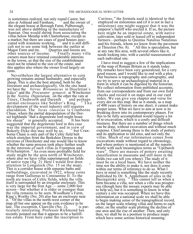also at Ashtead and Farnham, the elegant house at Borough Farm, Pulborough, was not above dabbling in the manufacture of Samian. One would shrink from associating the villas below Mendip with Charterhouse, except as a market, but there are cases of good houses asso-<br>ciated with ironstone working,  $\frac{33}{2}$  and it is still difficiated with ironstone working, cult not to see some link between the outlier at Magor Farm and tin.  $\frac{34}{1}$  Quarries and forests are Magor Farm and tin.  $34$  Quarries and forests are other sources of income.  $35$  Finally many vi  $35$  Finally many villa owners must have retained considerable interests in the towns, so that the size of the establishment need not be related to the size of the estate, and this applies also where the owner lived largely on rents.

Nevertheless the largest alternative to corn growing remains animal husbandry, and especially sheep. This is also the best attested, both by the literature and archaeologically. On the one hand we have the *birrus Britannicus* in Diocletian's Edict<sup>36</sup> and the *Procurator gynaecii* at Winchester in the *Notitia Dignitatum*, on the other the vats at Titsey, Chedworth and Darenth <sup>37</sup> and perhaps Titsey, Chedworth and Darenth animal enclosures like Soldier's Ring. <sup>38</sup> The development of the wool industry still requires elucidation. The *locus classicus* is Cranborne Chase, where the partial depopulation of the Dorset highlands "that a degenerate lord might boast<br>his sheen" is generally accepted. It has been his sheep" is generally accepted. suggested that the degenerate lord in this case was the imperial government, and in view of<br>Bokerly Dyke this may well be so. <sup>59</sup> but Cran-Bokerly Dyke this may well be so, borne Chase is only part of the Celtic field belt which stretches from the Berkshire Downs to the environs of Dorchester and one would like to know whether the same process took place further south in the interests of such villas as Frampton and Witchampton.<sup>40</sup>An even more profitable field for study might be the area north of Winchester, where also we have villas superimposed on fields of native type (fig. 2). Here I would first draw attention to Longstock (No. 15 on the map).  $41$ This is a corridor house with separate baths and outbuildings, excavated in 1922, whose coins range from Gallienus to Constantine II. To the north are traces of Celtic fields, while the villa itself is surrounded by an irregular enclosure. This is very large for the Iron Age — some 2,000 feet across—but whether it is older or younger than the villa remains to be seen. Woodham's Farm, King's Worthy (No. 20) also has an enclosure near it.<sup>42</sup> Of the villas in the north-west corner of the map all but one appear on the coin evidence to be late. The exception, Clanville  $(N_0, 2)$ ,  $\frac{43}{15}$  is particularly interesting. Professor Richmond has recently pointed out that it appears to be a bailiffrun estate. From here came the inscription to

is sometimes realized, not only round Castor, but Carinus; "the formula used is identical to that also at Ashtead and Farnham,  $\frac{31}{2}$  and the owner of employed on milestones and (if it is not in fact a employed on milestones and (if it is not in fact a milestone) one might suggest that it was the emperor's bailiff who erected it. If so, the picture here might be an imperial estate, with native cultivation, later sold or leased off to independent farmers—perhaps to Quintus Natalius Natalinus and his friends, whom we know from the pavement at Thruxton  $(N_0, 8)$ .  $45$  All this is speculation, but at any rate this area, with several others like it, needs looking into, with a careful reassessment of each individual site.

> I have tried to suggest a few of the implications of the map of Roman Britain as it stands today. My remarks have been very generalized, for a very good reason, and I would like to end with a plea. Our business is topography and cartography, and we try to serve up archaeological material in a form in which it can be digested by the historian. We collect information from published accounts, from our correspondents and from our own field checks and record it on maps and in our card index. We can give you chapter and verse for every dot on this map. But as it stands, as a map of 400 years of history on one sheet, it cannot make proper sense. What we have to aim at now is its breaking down into its contemporary phases. For this to be fully accomplished would require a lot of re-excavation, which is a costly and difficult business. But there are a number of things which can be done, without excavation and without much expense. Chief among these is the study of pottery and its application to old sites, and not only the villas. Much of our information comes from excavations made without regard to chronology, and where pottery is mentioned at all the reports bristle with such meaningless terms as "Upchurch ware". There are masses of pottery awaiting classification in museums and still more in the fields (we can tell you where). The study of it must be on a local basis. We have neither the time nor the ability to make it, nor does it come within our terms of reference to do so. What I have in mind is something like the study recently published by Dr. S. Applebaum of sites in the<br>Basingstoke area. <sup>46</sup> This cannot tell us when a farm became a villa, nor when a villa was prosperous (though here the mosaic experts may be able to help us), but it is something to know in what century a site was occupied. When we have this information on a national scale we shall be able to begin making sense of the topographical record, on the larger scale relating villas and farms to each other, on the smaller scale plotting the decline of one area and the rise of another. Then, and only then, we shall be in a position to produce maps which have some serious historical meaning.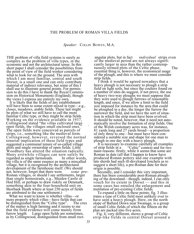#### THE PROBLEM OF ROMAN VILLA FIELDS

*Speaker:* COLLIN BOWEN, M.A.

THE problem of villa field systems is surely as complex as the problem of villa types, in the economic and not the architectural sense. In this short paper I shall consider the possibilities from the point of view of the field worker considering what to look for on the ground. The area with which I am most familiar, central and south Dorset, is a small one and can only contribute material of indirect relevance, but some of this I shall use to illustrate general points. For permission to do this I have to thank the Royal Commission on Historical Monuments (England), though the views I express are entirely my own.

It is likely that the fields of any establishment will have been to some extent mixed in type—e.g., closes, meadows, arable fields. These last might be plots of what we still have to call the more familiar Celtic type, or they might be strip fields. Working on the evidence available in 1937, Collingwood stated "the villas cultivated large open fields, the villages small enclosed ones." <sup>1</sup> The open fields were conceived as parcels of strips, i.e., something like the medieval form. Collingwood, however, reversed the normal tenurial implication of these field types and suggested a communal tenure of so-called village plots and single ownership of open fields. Little Woodbury has altered the situation radically. Many erstwhile villages can now safely be regarded as single farmsteads. In other words. regarded as single farmsteads. the villa is of the same essence as many a miscalled village, but it is recognised by the architectural development of the farmhouse itself. (We should not, however, forget that there were *some* pre-Roman villages, or should I say settlements, larger than single homesteads, e.g., Maiden Castle or Hod Hill, or perhaps to draw riskily on Denmark, something akin to the four-household unit on Skorbaek Heath where at least 250 acres of fields are attributed to the one settlement.) <sup>2</sup>

What we want to know is whether villas—or more properly which villas—have fields that can<br>be distinguished from the "Celtic type". The crux be distinguished from the "Celtic type". of the matter is high farming and it seems to me that the field evidence will come mainly from furrow length. Large open fields are sometimes, as by Collingwood, distinguished from small rect-

angular plots, but in fact *individual* strips even of the medieval period are not always significantly larger in area than the rather contemptuously termed plots of the Celtic phase. The essential thing is, however, the economical usage of the plough, and this is where we must consider strip fields.

I think it would be agreed nowadays that a heavy plough is not necessary to plough a strip field on light soils, but since the coulters found on a number of sites do suggest, if not prove, the use of heavy two-way ploughs we must suppose that they were used to plough furrows of reasonable length, and since, if we allow a limit to the field size imposed for instance by the area that could be ploughed in a day, the longer the furrow the narrower the field, and we have the sort of situation in which the strip must have been evolved. It should be noted, however, that it need not automatically involve the formation of strip fields. One of the Welsh customary acres was, for instance, 81 yards long and 27 yards broad—a proportion of only three to one—but must have been considered a suitable size and shape for one man to plough in one day with a heavy plough.

It is necessary to examine carefully all examples<br>of strip fields in a "Celtic" context and for two "Celtic" context and for two main reasons: firstly, while it seems that some are Roman in date (all that I happen to know have produced Roman pottery and one example with late sherds had such ill-developed lynchets as to suggest a short life), a pre-Roman date for their origin is possible.

Secondly, and I consider this very important, there has been considerable post-Roman ploughing of the downland—though, indeed, I can only vouch for its extent in Dorset — and this in some cases has entailed the enlargement and mutilation of pre-existing Celtic fields.

To expand a little on these points; fig. 3 illustrates a type of Celtic field most unlikely ever to have seen a heavy plough. Here, on the north slope of Ballard Down near Swanage, is a group of small Celtic fields of which the fifteen on the plan are packed into five acres.

Fig. 4, very different, shows a group of Celtic strip-like fields in central Dorset around a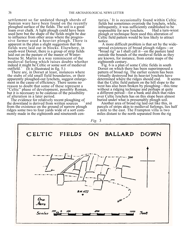settlement so far undated though sherds of Samian ware have been found on the recently ploughed surface of the fields. The soil is a good loam over chalk. A light plough could have been used here but the shape of the fields might be due to influence from other areas where the progressive farmer used a heavier plough. There is apparent in the plan a slight suggestion that the fields were laid out in blocks. Elsewhere, in south-west Dorset, there is a group of strip fields laid out on the pasture of the manor of Winterbourne St. Martin in a way reminiscent of the medieval furlong which raises doubts whether indeed it might be Celtic or some sort of medieval outfield.<sup>3</sup> (It is illustrated in fig. 5.)

There are, in Dorset at least, instances where the stubs of old small field boundaries, or their apparently ploughed-out lynchets, suggest enlargement in the cause of efficiency. There seems no reason to doubt that some of these represent a "Celtic" phase of development, possibly Roman, but it is necessary to be cautious of the possibility of alteration in a later period.

The evidence for relatively recent ploughing of the downland is derived from written sources  $\frac{4}{3}$  and from the existence on the ground of narrow plough ridges some two to four yards wide of a sort commonly made in the eighteenth and nineteenth cen-

turies.<sup>5</sup> It is occasionally found within Celtic fields but sometimes overrode the lynchets, while, infrequently, it was sufficiently established to be responsible for new lynchets. plough or technique been used this alteration of Celtic field pattern would be less likely to attract notice.

A more difficult problem is that set by the widespread existences of broad plough ridges—or "broad rig" as I shall call it—on the pasture land outside the bounds of the medieval fields as they are known, for instance, from estate maps of the eighteenth century.

Fig. 6 is a plan of some Celtic fields in south Dorset on which there has been superimposed a pattern of broad rig. The earlier system has been virtually destroyed but its heavier lynchets have determined where the ridges should end. that the Celtic field pattern on the hill slope to the west has also been broken by ploughing—this time without a ridging technique and perhaps at quite a different period—for a bank and ditch that rides over Celtic lynchets has on this slope been almost buried under what is presumably plough soil.

Another area of broad rig laid out like this, in parcels of strips akin to medieval furlongs, lies half a mile to the east. The Frampton villa is two miles distant to the north separated from the rig

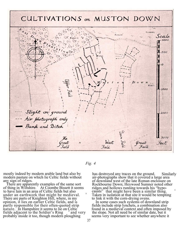



modern pasture on which lie Celtic fields without any sign of ridges.

There are apparently examples of the same sort Rockbourne Down; Heywood Sumner noted other of thing in Wiltshire. At Coombe Bissett it seems ridges and hollows running towards his "hypoof thing in Wiltshire. At Coombe Bissett it seems ridges and hollows running towards his "hypo-<br>to have lain in an area of Celtic fields but also causts" that might have been a similar thing. under an earthwork that might be medieval. <sup>6</sup> There are parts of Knighton Hill, where, in my to link it with the corn-drying ovens.<br>
opinion, it lies on earlier Celtic fields, and is The some cases such systems of downland strip opinion, it lies on earlier Celtic fields, and is In some cases such systems of downland strip partly responsible for their often-quoted strip fields include strip lynchets, a combination also partly responsible for their often-quoted strip fields include strip lynchets, a combination also<br>nature. In Hampshire it seems to lie on Celtic found in a medieval context and often imposed by nature. <sup>7</sup> In Hampshire it seems to lie on Celtic fields adjacent to the Soldier's Ring  $\frac{1}{\pi}$  and very fields adjacent to the Soldier's Ring <sup>8</sup> and very the slope. Not all need be of similar date, but it probably inside it too, though modern ploughing seems very important to see whether anywhere

mostly indeed by modern arable land but also by has destroyed any traces on the ground. Similarly modern pasture on which lie Celtic fields without air-photographs show that it covered a large area y sign of ridges.<br>There are apparently examples of the same sort **and Rockhourne Down**; Heywood Sumner noted other causts" that might have been a similar thing. Taken in isolation at that site it would be tempting to link it with the corn-drying ovens.

seems very important to see whether anywhere it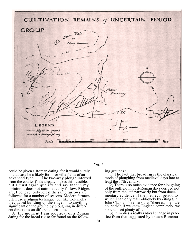



could be given a Roman dating, for it would surely in that case be a likely form for villa fields of an advanced type. The two-way plough infer The two-way plough inferred from the coulter finds already makes this feasible, but I must again qualify and say that in my opinion it does not automatically follow. Ridges are, I believe, only left if the same furrows are followed for a number of seasons. Modern farmers often use a ridging technique, but like Columella they avoid building up the ridges into anything significant on the ground by ploughing in different directions on different occasions.

At the moment I am sceptical of a Roman dating for the broad rig so far found on the following grounds :

(1) The fact that broad rig is the classical mode of ploughing from medieval days into at least the 17th century.

(2) There is so much evidence for ploughing of the outfield in post-Roman days derived not only from the late narrow rig but from documentary evidence of the medieval period to which I can only refer obliquely by citing Sir John Clapham's remark that "there can be little doubt that, if we knew England completely, we should meet plenty of it."

(3) It implies a really radical change in practice from that suggested by known Romano-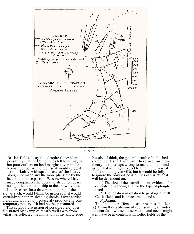



possibility that the Celtic fields left to us may be but poor outliers on land marginal even in the a remarkably widespread use of the heavy fields about a given villa, but it would be folly plough not made any the more plausible by the to ignore the obvious possibilities of variety the fact that in those parts of Wessex where I have made comparison the overall distribution bears no significant relationship to the known villas.

In our search for a date mere digging of the used.<br>
g as such, would I think be useless for it would (2) The location in relation to geological drift, rig, as such, would I think be useless for it would (2) The location in relation to geological certainly contain misleading sherds if over earlier Celtic fields and later treatment, and so on. certainly contain misleading sherds if over earlier Celtic fields and would not necessarily produce any con- (3) Dating. fields and would not necessarily produce any contemporary pottery if it had not been manured.

illustrated by examples mostly well away from pendent farm whose conservatism and needs m<br>villas has reflected the limitation of my knowledge well have been content with Celtic fields of the villas has reflected the limitation of my knowledge

British fields. I say this despite the evident but also, I think, the general dearth of published possibility that the Celtic fields left to us may be evidence. I shall venture, therefore, on more but poor outliers on land marginal even in the theory. It is perhaps wrong to make up our minds Roman period. And of course it would suggest as to what we might expect to find in the way of Roman period. And of course it would suggest as to what we might expect to find in the way of a remarkably widespread use of the heavy fields about a given villa, but it would be folly to ignore the obvious possibilities of variety that will be dependent on:

> (1) The size of the establishment, evidence for centralized working and for the type of plough

mporary pottery if it had not been manured. The first factor offers at least three possibilities:<br>This scrappy discussion of possible field types (a) A small establishment representing an inde-(a) A small establishment representing an inde-<br>pendent farm whose conservatism and needs might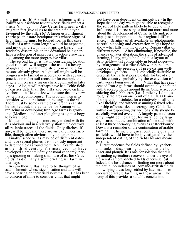old pattern. (b) A small establishment with a bailiff or subservient tenant whose fields reflect a master's policy. (Any Celtic farm near a vill (Any Celtic farm near a villa) might in fact give clues to the arable field type favoured by the villa.) (c) A larger establishment (perhaps an estate headquarters) where signs of high farming must be looked for. In this case fields of a minimum length would be expected, and my own view is that strips are likely—the tendency discernible on the downland being perhaps a reflection of improvers' practice elsewhere, e.g., among the more progressive villas.

The second factor is that in considering location good rich soil will suggest the use of a heavy plough and this in turn the strip form of field for reasons already given. A light soil might well be progressively farmed in accordance with advanced practice on richer soil (consider for example the largely unnecessary rig on chalk downland in later days). Also, it will perhaps have had Celtic fields of earlier date than the villa and pre-existing lynchets of sufficient size will ensure that any new pattern is a compromise. The problem then is to consider whether alteration belongs to the villa. There must be some examples where this can still be worked out; the evidence for Roman villas replacing or developing Iron Age farms is growing. (Medieval and later ploughing is again a bogy to beware of.)

Modern ploughing is more easy to deal with for it is obvious and in a relatively short time destroys all reliable traces of the fields. Only ditches, if any, will be left, and these are virtually indestructible, though often obvious only under crops.

Finally, since villas may be of different dates and have several phases it is obviously important to date the fields around them. A villa established in the third century, for instance, may have developed a predominantly pastoral economy, perhaps ignoring or making small use of earlier Celtic fields, as did many a southern English farm in later days.

In sum then: villas have to be thought of as establishments whose size, location and date will<br>have a bearing on their field systems. (It has been have a bearing on their field systems. no concern of mine to consider villas that might

not have been dependent on agriculture.) In the hope that one day we might be able to recognise the sort of field pattern likely to be due to villa influence, it is necessary to find out more and more about the development of Celtic fields and, perhaps just as important, of their regional differences. Scrutiny of all available air-photographs, careful planning and excavation might hope to show what falls into the orbits of Roman villas of different types. After eliminating, if possible, the chances of later alteration, the signs of advanced farming, if any, might be found in a layout of strip fields—just conceivably in broad ridges—or by enlargement of earlier fields within the limits imposed by the presence of pre-existing well-It is especially desirable to establish the earliest possible date for broad rig in this country, probably by the excavation of earthworks lying over it. Villas that have succeeded Iron Age farms should eventually be found with traceable fields around them. Otherwise, considering the 1,000 acres (i.e., 1 mile by  $1\frac{1}{2}$  miles– roughly the area on one print of a 1 : 10,000 airphotograph) postulated for a relatively small villa like Ditchley, and without assuming a fixed relationship of house size to acreage, any Celtic fields within corresponding distance of a villa should be carefully worked over. A largely pastoral econ-A largely pastoral economy might be indicated, for instance, by large enclosures, but the combination of one such with at least three corn-drying ovens as at Rockbourne Down is a reminder of the continuation of arable farming. The mere physical contiguity of a villa to fields would have to be investigated by the independent dating of the fields by any means possible.

Direct evidence for fields defined by lynchets and banks is disappearing rapidly under the bulldozer and plough. It is one consolation that this expanding agriculture recovers, under the eye of the aerial camera, ditched fields otherwise lost. Indeed, the best chance of finding out more about the actual boundaries of Romano-British fields in low-lying areas long settled by later man is to encourage arable farming in those areas. The irony of this provides a suitable conclusion.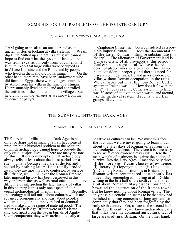#### SOME HISTORICAL PROBLEMS OF THE FOURTH CENTURY

*Speaker:* C. E. S TEVENS , M.A., B.Litt., F.S.A.

I AM going to speak as an outsider and as an<br>ancient historian looking at villa systems We can ancient historian looking at villa systems. dig Little Milton up and get its status; we cannot hope to find out what the system of land tenure was from excavation, only from documents. It is quite likely that large villas were occupied as in Alsace-Lorraine and the Rhineland by people who lived in them and did no farming. On the other hand, there may have been landowners who did farm. In Egypt, there were villages controlled by Apion from his villa in the time of Justinian. He presumably lived on the land and controlled the activities of the population in the villages. But he did not own the villages as we know from the evidence of papyri.

Cranborne Chase has sible imperial estate. of the Later Roman<br>theory? The alienat been considered as a pos-Does the documentation Empire substantiate this The alienation of Government land is a characteristic of all provinces at this period. Gaul can tell us a great deal. We have the evidence of place-names, estate-names. This has not been considered properly and there is need for research on these lines. Ireland gives evidence of villas without Roman occupation, in the raths. We can work out what the non-Roman Celtic<br>system in Ireland was. How does it fit with the How does it fit with the raths? It looks as if the Celtic system in Ireland was 30 acres of cultivation with waste land around, like the medieval system. It seems to work in groups, like villas.

#### THE SURVIVAL INTO THE DARK AGES

*Speaker:* Dr. J. N. L. M YRES, M.A., F.S.A.

THE survival of villas into the Dark Ages is not only, perhaps not primarily, an archaeological problem but a historical problem to the solution of which archaeology cannot hope to provide the only or the major clues. There are many reasor only or the major clues. There are many reasons<br>for this. It is a commonplace that archaeology It is a commonplace that archaeology always tells us least about the latest periods on a This is because they are at the top and sealed by nothing later: if not totally eroded away, they are most liable to confusion by surface<br>disturbance, etc. All over the Roman Empire. All over the Roman Empire, later imperial history has been destroyed in this way on urban sites as well as rural ones. The difficulty of interpreting the later history of villas in this country is thus only one aspect of a universal archaeological phenomenon. Secondly, versal archaeological phenomenon. archaeology will tell most about cultures which are advanced economically and least about peoples who are too ignorant, impoverished or demoralized to make a wide range of material goods. The cultures of Dark Age Britain were of this latter kind and, apart from the pagan burials of Anglo-Saxon conquerors, they were archaeologically as

negative as cultures can be. We must thus face the fact that we are never going to learn much about the later days of Roman villas from the archaeological evidence. Therefore it is necessary to see what other evidence may exist. Here the main weight of testimony is against the notion of survival into the Dark Ages. I mention only three of the more significant classes of evidence: (i) literary, (ii) toponymic, and (iii) linguistic. (i) Of all the Roman institutions in Britain, post-Roman writers remembered least about villas. Indeed they remembered nothing at all. Gildas, writing in the first half of the sixth century, knew a bit about Roman military dispositions and he bewailed the destruction of the Roman towns. But he knew nothing about Roman villas. The only possible conclusion seems to be that they had perished as going concerns so long ago and so completely that they had been forgotten by the early sixth century. Yet, as late as the second half of the fourth century, we know archaeologically that villas were the dominant agricultural fact of large areas of rural Britain. On the other hand,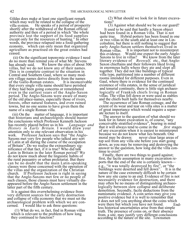Gildas does make at least one significant remark which may well be related to the collapse of the villa system. He speaks of a period of prospe He speaks of a period of prosperity shortly after the withdrawal of the Roman official authority and then of a period in which "the whole province lost the support of its food supplies except only for the resources of hunting." In other words, the province relapsed into a food-gathering economy, which can only mean that organized agriculture as practised on the great estates had ceased.

(ii) On the significant toponymic evidence I need do no more than remind you of what Mr. Stevens has already said. We know the sites of about 5 We know the sites of about 500 villas, but we do not know any of their names. This is in complete contrast to the situation in Central and Southern Gaul, where so many modern village names derive directly from the names<br>of the Gallo-Roman estates. It is inconceivable of the Gallo-Roman estates. that every single villa name should have perished if they had been going concerns or remembered even in the earliest years of the Anglo-Saxon period. The Anglo-Saxons were aware of many of the old place-names, especially those of rivers, forests, other natural features, and even ruined towns, but no one seems to have given them the name of a single Roman villa.

(iii) On the matter of language, it is important that historians and archaeologists should master the conclusions which Professor Kenneth Jackson<br>has recently placed before us in his Language and has recently placed before us in his *History in Early Britain.* I would draw your attention only to one relevant observation in his<br>work. Professor Jackson says that "the Angl Professor Jackson says that "the Anglo-Saxons met very few people who talked any sort of Latin at all during the course of the occupation of Britain". Do we realise the extraordinary significance of that fact, if it is true? Who did talk Latin in Britain in the later Roman period? We do not know much about the linguistic habits of the rural peasantry or urban proletariat. But there can be no doubt that the main Latin-speaking classes were those concerned with the operation of the villas and the organization of the Christian church. If Professor Jackson is right in saying that the Anglo-Saxons met few or no people of such classes, those classes must have virtually disappeared before the Anglo-Saxon settlement in the latter part of the fifth century.

It is against this overwhelming evidence from very different sources for the early destruction and collapse of villa economy that we must set the archaeological problem with which we are concerned. I would like to ask three questions:

(1) What do we, in fact, find in Roman villas which is relevant to the problem of how long they continued to function?

(2) What should we look for in future excavations?

(3) Against what should we be on our guard?

It used to be said that hardly a Saxon object had been found in a Roman villa. That is not quite true. Hybrid pottery has been found in one or two villas in the south and at least one in Lincolnshire, but there is still nothing to suggest that early Anglo-Saxon settlers themselves lived in Roman villas. It is important not to misinterpret this evidence. Would one expect the early Anglo-<br>Saxons to live in villas? We know from the later We know from the later literary evidence of *Beowulf*, etc., that Anglo-Saxon chieftains and their followers liked living in enormous halls where they ate and slept all together. They did not like buildings of typical villa type, partitioned into a number of different rooms intended for different purposes. Even in Gaul, where there is evidence for the continued existence of villa estates, in the sense of juridical and tenurial continuity, there is little sign archaeologically of Frankish chiefs living in Roman villas. The villas fell down or were used as stables and the chiefs built halls for themselves nearby.

The occurrence of late Roman coinage, and the extent of its wear and tear on villa sites is a matter of great importance which would require a separate lecture to itself.

The answer to the question of what should we look for in future excavation is, of course, "any conceivable stratified evidence", bearing in mind that it will always tend to come in the *first* stages of any excavation when it is easiest to misinterpret because we do not know what lies beneath. One moral may be drawn: never clear large areas never clear large areas of top soil from any villa site before you start going down, as you may be removing and destroying the answer to the question, how long did the villa continue to exist?

Finally, there are two things to guard against; first, the facile assumption in many excavation reports that the end of the site is certainly known e.g., "it was totally destroyed by fire", or "the buildings were deserted and fell down". It is in the nature of the case extremely difficult to be certain how any site came to an end. Evidence of fire is not necessarily evidence for destruction, and there may often be no means of distinguishing archaeologically between slow collapse and deliberate demolition. Secondly, facile deductions from the numismatic evidence. A coin series may give you positive evidence but it is well to remember that it does not tell you anything about the coins which were there but which you have not found. Endless historical uncertainties arise from that simple truth. The presence of coins on, or their absence<br>from, a site, may justify very different conclusions according to the nature of the site. Townsmen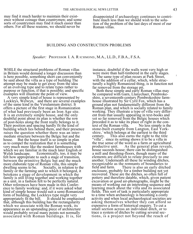may find it much harder to maintain their existence without coinage than countrymen; and some sorts of countrymen may find it much easier than others. For all these reasons, we should never be

disappointed if archaeology continues to contribute much less than we should wish to the solution of the problem of the last days of most of our Roman villas.

#### BUILDING AND CONSTRUCTION PROBLEMS

#### *Speaker:* PROFESSOR I. A. R ICHMOND, M.A., LL.D., F.B.A., F.S.A.

WHILE the structural problems of Roman villas in Britain would demand a longer discussion than is here possible, something short can conveniently be said about the villa as a type of building The attempt may be made to get away from the idea of an evolving type and to relate types rather to purpose or function, if that is possible; and specific examples will illustrate the point of view.

A very simple kind of house is represented by Lockleys, Welwyn,<sup>1</sup> and there are several examples of the same kind in the Verulamium district. It offers a picture of the first stage in Romanization of what had previously been an Iron Age site. It is an extremely simple house, and the only doubtful point about its plan is whether the row of post-holes along the front really belongs to it. Their position and spacing hardly fit the kind of building which lies behind them, and their presence raises the question whether there was an intermediate structure between the Belgic hut and the house. But the house itself is so simple in plan as to compel the realization that it is something very much more like the modest farmhouses with which we are familiar in the much later English or<br>Welsh landscape. Economically, too, it may be Economically, too, it may be. felt how appropriate to such a stage of transition, between the primitive Belgic hut and the much more elaborate type of Roman villa, this simple dwelling seems to be. Socially, in relation to Socially, in relation to the. family or the farming unit to which it belonged, it betokens a stage of development in which the family is still living together and working together as a unit, in a fashion felt to be perfectly natural. Other references have been made in this Conference to family working: and, if it were asked what kind of simple house would suit a semi-Romanized form of building, the Lockleys type might very appropriately fit the bill. It should be emphasised appropriately fit the bill. that, although this building has the rectangularity which we associate with the Roman work, its appearance as an upstanding piece of architecture would probably reveal many points not normally associated with Roman buildings. It is, for

instance, doubtful if the walls went very high or were more than half-timbered in the early stages.

The same type of plan recurs at Park Street, with the addition of a cellar, which, while structurally a highly Romanized thing, is in function not far removed from the storage pit.

Both these simple and early Roman villas may be compared with Garn, Llanychaer, Pembrokeshire, a seventeenth-century Pembrokeshire farmhouse illustrated by Sir Cyril Fox, which has a ground plan not fundamentally different from the Roman plan, and which is socially related to family working. They illustrate a type of villa very different from that usually appearing in text-books and yet so far removed from the Belgic houses which preceded it as to take its place of right in the context of the Roman villa. No less simple is the text of the Roman villa. stone-built example from Langton, East Yorkshire,  $\frac{3}{3}$  which belongs at the earliest to the third century. This also earns the right to the title This also earns the right to the title "villa", since its setting shows it to be a villa in the true sense of the word as a farm or agricultural<br>productive unit. As the general plan reveals. As the general plan reveals, house suceeds house; there can be distinguished a mill and threshing-floors, though many of the elements are difficult to relate precisely to one another. Underneath all these lie winding ditches, recognizable as the remnants of boundaries to<br>field and farm. There is also an early ditche There is also an early ditched. enclosure, probably for a timber building not yet recovered. These are the ditches, so often full of pottery and therefore datable, which, given patient excavation or good air-photographs, might be the means of working out an interesting sequence and learning much about the villa and its associated fields. This sort of task is particularly appropriate to a time when archaeology is becoming a costly activity and when local archaeological societies are asking themselves whether they can afford so expensive a form of historical enquiry. To cut a small section across an individual ditch, or to trace a system of ditches by cutting several sections, is a project not beyond the reach of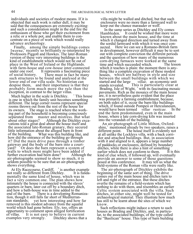individuals and societies of modest means. If it is objected that such work is rather dull, it may be said that the consequences are extremely exciting: and such a consideration might in the end fire the enthusiasm of those who get their excitement from a relic or a whole pot, and enable them to concentrate on a piece of work which would really advance archaeology.

Finally, among the simple buildings comes Iwerne, recently so brilliantly re-interpreted by Professors Piggott and Hawkes. The later-Roman version of these very interesting buildings is the kind of establishment which would not be out of place in the West of Ireland or the Highlands. with farm-house and cow-house inter-connected<br>under one roof. It represents a fascinating piece under one roof. It represents a fascinating piece<br>of social history. There must in fact be many There must in fact be many. such structures to be found and analysed at the lower end of our villa scale. No historian can despise them, and their importance is that they probably form much more the rule than the exception, in contrast to the larger villas.

Much higher in the scale is Ditchley.  $\rightarrow$  This house is one in which the family unit becomes something different. The large corner rooms represent special rooms thrown out from the rest of the house for<br>its owners. The stage is reached where the word The stage is reached where the working part of the household is becoming consciously separated from master and mistress. But what about other stages? Although the Ditchley exca-Although the Ditchley excavations told a great deal about the house itself and the associated late-Roman granary, they secured little information about the alleged barn in front of the building. What was this building like, and how did the entrance of the building go through it? Did the main drive pass through a timber gateway and the body of the barn into a courtyard? Or does the barn represent a system of walls to which more might have been added if<br>further excavation had been done? Although the further excavation had been done? air-photographs seemed to show so much, it is seldom possible to be sure that an air-photograph shows everything.

At Ely Racecourse, Cardiff, <sup>6</sup> is another example t really so different from Ditchley. It is fundanot really so different from Ditchley. mentally the same kind of house, which was in fact a very common one. The plan shows how intimately the house is connected with the slaves' quarters or barn, later cut off by a boundary ditch, and how a bath-house was in time added to the end of the barn. There is a developing Roma There is a developing Romanization, though it still falls far short of Mediterran-<br>ean standards; yet how interesting and how yet how interesting and how far removed is this modest advance from the squalid world which had gone before. Ely, too, offers an opportunity to comment upon alleged fortification It is not easy to believe in current<br>ery strongly. Ditchley shows that a examples very strongly.

villa might be walled and ditched, but that such enclosures were no more than a farmyard wall to keep out the chance marauder or wolf.

In the same series as Ditchley and Ely comes Hambleden.<sup>7</sup> It could be wished that more were known about the main house, and the time at which it changed direction and turned away from the sordid farmyard with which it was once connected. Here we can see a Romano-British farm in development, however difficult it may be to sort out with complete conviction the different periods and the question of how many of the numerous corn-drying furnaces were worked at the same<br>time and which succeeded which The lesson time and which succeeded which. which it teaches is plain: the moment there is anything like a complete excavation of these modest houses, which are halfway in style and size between the small buildings with which we started and the large  $villae$ , an economic un started and the large *villae*, an economic unit stands revealed. This is particularly clear at This is particularly clear at Brading, Isle of Wight, <sup>8</sup> with its fascinating mosaic pavements. Rich as the mosaics of the main house are, it is nevertheless quite evident that the place was primarily a farming establishment, because, on both sides of it, occur the barn-like buildings which, if found outside Pompeii or Herculaneum,<br>would have been termed villae rusticae. In the would have been termed *villae rusticae*. end the farm predominated, even in the main house, where a late corn-drying kiln was inserted into the verandah of the building.

An air-photograph of Little Milton, Oxfordshire,<sup>9</sup> mentioned already by two speakers, raises a different point. The house itself is evidently not at all unlike the Lockleys villa, with a back corridor and attached buildings. But, in association with it and aligned to it, appears a large number of paddocks or enclosures, defined by boundary ditches, while there is also a hint of something earlier which does not conform to them. It is this kind of clue which, if followed up, will eventually provide an answer to some of those questions<br>posed at this conference. It may tell us what t It may tell us what the field-systems of the Roman villa were really like.

The air-photograph of Ditchley exhibits the beginning of the same sort of thing. The drive comes out of the main house and ditches turn to left and right of the entrance. But these ditches overlie the remains of a field-system which has nothing to do with them, and resembles an earlier Celtic system associated with the villa. Such ditches, at either site, might well be tested for archaeological material. They illustrate how much has still to be learnt about the sites of which we know.

Such reflections might induce a return to such houses as Brading and Ditchley, and, in particular, to the associated buildings, of the type called the "Basilican" house. This type of barn building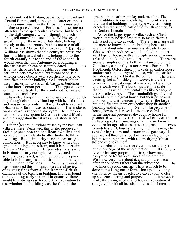is not confined to Britain, but is found in Gaul and Central Europe; and, although the latter examples are less numerous than the British, this may well<br>be due to pure chance. For these houses are n For these houses are not attractive to the spectacular excavator, but belong to the dull category which, though not rich in finds, tell much about social life and history. A great many of them are of late date, belonging mostly to the 4th century, but it is not true of all. At Llantwit Major, Glamorgan, "Dr. Nash-Williams has shown that the courtyard house and barn building attached to it, belong not to the fourth century but to the end of the second; it would seem that this Antonine barn building is the earliest which can be securely dated. It is true that there are barn buildings from which earlier objects have come, but it cannot be said whether these objects were specifically related to stratification in the building. So Llantwit Major may warn us not to assign all basilican buildings<br>to the later Roman period. The type was one to the later Roman period. eminently suitable for the combined housing of stock, tools and slaves.

Clanville, Hampshire,  $\frac{11}{11}$  is the same kind of building, though elaborately fitted-up with heated rooms<br>and mosaic pavements. It is difficult to say with It is difficult to say with<br>ssociated. The enclosed what kind of farm it was associated. yard and walls suggest a stockyard. The interpretation of the inscription to Carinus is also difficult, and the suggestion that it was a milestone is not compelling.

But the general questions raised by the basilican villa are these. Years ago, this writer produced a facile paper upon the basilican dwelling and pointed out its similarity to other timber hall-like dwellings. But a similarity is not necessarily a connection. It is necessary to know where this It is necessary to know where this type of building comes from, and it is not certain that even Mayen in the Eifel provides the answer. In Britain an early example, securely dated and securely established, is required before it is possible to talk of origins and distribution of the type<br>in the Imperial provinces. What is wanted, as in the Imperial provinces. was mentioned this morning, is a careful review of existing finds from all the Romano-British examples of the basilican building. If one is found to be yielding early material in quantity, there would be a strong case for selective excavation to test whether the building was the first on the

ground or an earlier one lay underneath it. The great addition to our knowledge in recent years is the fact that buildings of this type were still being erected in the second half of the fourth century, as at Denton, Lincolnshire. <sup>12</sup>

As for the larger type of villa, such as Chedworth, it may be deplored that so magnificent a<br>site is not fully excavated. There is in a sense all site is not fully excavated. the more to know about the building because it is a villa about which so much is already known. Chedworth introduces what is called the courtyard type of house, with a multiple series of rooms related to back and front corridors. many examples of this, both in Britain and on the Continent, especially in north-west Europe. But Northleigh, Oxfordshire,  $13$  reveals an earlier house underneath the courtyard house, with an earlier<br>bath-house attached to it at the corner. The really bath-house attached to it at the corner. exciting fact at Northleigh, however, is the discovery of the great range of work-a-day buildings to the south-west. The buildings are on a scale that reminds us of Continental sites like Nennig in<br>the Moselle valley. These outbuildings tally and These outbuildings tally and coincide with the great house, but their purpose is unknown, and it is uncertain whether the large building fits into them or whether they fit another<br>building underlying it. Even this largest type of Even this largest type of. house, however, is revealed as an economic unit. In the Imperial provinces the country house for pleasure was very rare, and whenever th e archaeological surroundings of a villa are known, evidence for agriculture seems to appear. Even Woodchester. Gloucestershire,  $\frac{1}{4}$  with its magnificent dining-room and ornamental gateway, is approached through a court of work-a-day buildings resembling barns, with a corn-drying kiln at the end of one of them.

In conclusion, it must be clear how desultory is<br>in knowledge of the whole matter. If this conour knowledge of the whole matter. ference has any purpose, it is to see how much has yet to be learnt on all sides of the problem. We know very little about it, and that little is too often the shadow rather than the substance. But two lines of action emerge. There is much to be done in revising our information upon existing examples by means of selective excavation to clear up sequence, dating and purpose. In large-scale work, the crying need is a full-scale excavation of a large villa with all its subsidiary establishments.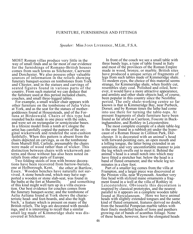#### FURNITURE, FURNISHINGS AND FITTINGS

#### *Speaker:* Miss J OAN LIVERSIDGE , M.Litt., F.S.A.

MOST Roman villas produce very little in the way of small finds and so far most of our evidence for the furnishings of Romano-British houses comes from such towns as Silchester, Caerwent and Dorchester. We also possess other valuable sources of information in the reliefs showing funerary banquet-scenes on tombstones from York and Chester, and in the statues and carvings of seated figures found in various parts of the country. From such material we can deduce that the furniture used at this period included chairs, couches, and small three-legged tables.

For example, a small wicker chair appears with other furniture on the tombstone of Julia Velva at York, and as the seat for the statues of mothergoddesses found at Housesteads, and of the Fortuna at Birdoswald. Chairs of this type had rounded backs made in one piece with the sides, and were set on rectangular or semicircular bases. In a lifesize model from a tomb at Cologne the artist has carefully copied the pattern of the original wickerwork and rendered the seat-cushion faithfully. When this pattern is absent from the chairs depicted on carvings, as on the tombstone from Murrell Hill, Carlisle, presumably the chairs were made of wood rather than of wicker. This distinction between chairs with wickerwork patterns and those without has also been noted on reliefs from other parts of Europe.

Two folding stools of iron with bronze decorations have been recovered from barrow-burials, one at Holborough, Kent, <sup>1</sup> the other at Bartlow, one at Holborough, Kent, Essex.<sup>2</sup> Wooden benches have naturally not survived. A stone bench-end, which may have supported a wooden or stone slab-seat, was found in the baths at the fort at Mumrills;  $\frac{3}{3}$  and something of this kind might well turn up in a villa excavation. Our best evidence for couches comes from the funerary banquet-scene; and the tombstone of Aelia Aeliana found at York shows the characteristic head- and foot-boards, and also the high back,<sup>4</sup> a feature which is present on many of the British reliefs. The legs are decorated with mouldings, and it is interesting to recall that a similar small leg made of Kimmeridge shale was discovered at Silchester.

In front of the couch we see a small table with three bandy legs, a type of table found in Italy and most of the provinces of the Roman Empire made in wood, bronze, or marble. British sites have produced a unique series of fragments of legs from such tables made of Kimmeridge shale. To modern eyes, the choice of this material seems strange, for Kimmeridge shale, when freshly cut, resembles slaty coal. Polished and oiled, however, it would have a more attractive appearance, and armlets and other shale objects had, of course, been popular in this country since the Neolithic period. The only shale-working centre so far known is that in Kimmeridge Bay, near Purbeck, Dorset; and by Roman times the lathe had come into use there for turning the table-tops. At present fragments of shale furniture have been found as far afield as Caerleon, Foscote in Buckinghamshire, and Rothley in Leicestershire.

The most complete example of a shale table-leg is the one found in a rubbish pit under the hypocaust of a Roman House in Colliton Park, Dorchester. It is decorated with an animal's head with forward-pointing ears, an open mouth and a lolling tongue, the latter being extended in an unrealistic and very uncomfortable manner to join the leg which swells out to meet it. Behind the animal's head is a small notch into which may have fitted a stretcher bar; below the head is a band of fluted ornament; and the whole leg terminates in a claw foot.

Part of a smaller leg comes from the villa at Frampton, and a larger piece was discovered at the Preston villa, near Weymouth. Another very fine head with stylized mane ornaments a fragment found in a well at the villa of Rothley in Leicestershire. Obviously this decoration is inspired by classical prototypes, and the nearest parallel to it appears on a complete wooden table<br>found at Herculaneum. <sup>6</sup> Here we have anima <sup>6</sup> Here we have animal heads with slightly extended tongues and the same kind of fluted ornament, features derived no doubt, from the beautiful Pompeian marble tables with their finely modelled heads of lions and panthers growing out of bands of acanthus foliage. None of these heads, however, have the elongated heads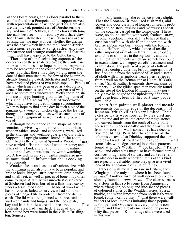of the Dorset beasts, and a closer parallel to them can be found in a Pompeian table-support carved with representations of winged griffins. Here also are the pricked, pointed ears of Dorchester, the stylized mane of Rothley, and the claws with long toe-nails best seen in this country on a shale clawfoot from Silchester. These likenesses are so striking that we may wonder whether the griffin was the beast which inspired the Romano-British craftsmen, especially as its rather uncanny appearance and strange combination of features might well have appealed to the Celtic taste.

There are other fascinating aspects of the decoration of these shale table-legs; their intrinsic interest stimulates us to hope that more fragments may be recovered in the course of future excavations, and that these may throw light upon the date of their manufacture, for few of the examples already found are dated. Silchester and Caerwent have produced pieces of two table-tops. shale, which may have been used as a decorative veneer for couches, or for the lower parts of walls, are also sometimes discovered. Wells and rubbishpits are a happy hunting-ground for fragments of this kind, and also for any bits of woodwork which may have survived in damp surroundings. We may hope to find some day in such a place the remains of a worn-out wicker chair, or the leather<br>thongs of a couch-seat, as well as such items of as well as such items of household equipment as iron tools and pewter vessels.

Although no evidence in the shape of actual remains survives, we must presume that plain wooden tables, stools, and cupboards, were used in the kitchens and working-quarters of our villas. Supports of upright stones found in the room identified as the kitchen at Spoonley Wood, <sup>7</sup> may have carried a flat table-top of wood or stone; and relics of this kind, and of anything in the nature of stone shelves or brackets, are worth watching for. A few well preserved hearths might also give us more detailed information about cooking arrangements.

Wooden chests and caskets of various sizes with metal fittings seem also to have been popular; and bronze locks, hinges, strip-ornament, drop handles, and small feet, as well as pieces of bone inlay often come to light. A family treasure-chest discovered at Silchester had been buried in a flint-lined cavity<br>under a tessellated floor. Made of wood which under a tessellated floor. has, of course, failed to survive, it had stood on pieces of flanged tile to protect it from the damp earth. The lid was strengthened with three stalwart iron bands and hinges, and the lock plate, key and iron handle were also preserved. <sup>8</sup>The contents, alas, had vanished. Traces of another iron-bound box were found in the villa at Brislington, Somerset.

For soft furnishings the evidence is very slight. That the Romano-Britons used rush mats, and covers and door curtains of homespun seems probable; and bolsters, cushions and mattresses appear on the couches carved on the tombstones. These were, no doubt, stuffed with wool, feathers, straw, or other vegetable material. It is believed that a cushion stuffed with chaff and decorated with bronze ribbon was burnt along with the folding stool at Holborough. A wide choice of textiles, either imported or made in Britain, was probably available to shoppers in the big towns, and the small textile fragments which are sometimes found in excavations well repay careful treatment and examination. The pattern of a piece of cloth of late first-century date has left an impression of itself on a tile from the Ashtead villa; and a scrap of cloth with a herringbone weave was retrieved from a well on the Roman site at Huntcliff, Yorkshire. <sup>"</sup> Small leather fragments showing signs of stitchery, like the gilded specimen recently found on the site of the London Mithraeum, may possibly have belonged to the upholstery of chairs and couches: clues of this sort may prove invaluable.

Apart from painted wall-plaster and mosaic pavements our knowledge of the decoration of Romano-British villas is very limited. Their exterior walls were frequently plastered and painted red and white; the crest and ridge-stones and carved finials from the roofs of stone-built houses turn up occasionally; and the dwarf pillars from low corridor-walls sometimes have decorative mouldings. Possibly the remains of the columns excavated at Ditchley supported the cornice of a facade of fourth-century type, a n d stone slabs with edges carved in various patterns found at King's Worthy,  $\frac{12}{12}$  Tockington," Painswick<sup>14</sup> and other sites may also have formed part of cornices. Fragments of statuary and carved reliefs are also occasionally recorded. Items of this kind are especially valuable, since they give us a vivid idea of the appearance of villa buildings.

Traces of wall mosaic are rare in Britain, and Wingham is the only site where it has been found *in situ.*<sup>2</sup> Another form of wall decoration occasionally found is *opus sectile.* The clearest traces of a floor in this style come from Angmering, where triangular, oblong, and kite-shaped pieces of coloured stones of the Wealden series, Sussex marble, and white limestone from north Italy were found, some worn by use. <sup>16</sup> That there were wallveneers of local marbles imitating those popular at Pompeii and Ostia seems a very probable conjecture, and I have already mentioned the possibility that pieces of Kimmeridge shale were used in this way.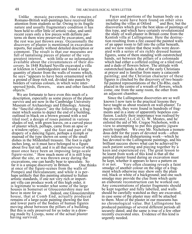Unlike mosaic pavements, the remains of Romano-British wall-paintings have received little attention from students so far. Owing to its fragile nature and usually fragmentary condition it has been held to offer little of artistic value, and until recent years only a few pieces with definite patterns on them were preserved by excavators, and the rest was just thrown away. Occasionally the discovery of plaster is mentioned in excavation reports, but usually without detailed description or comment. The result is that our museums are full of tantalising pieces of plaster of the very greatest interest, with little or no information available about the circumstances of their discovery. In 1848 Richard Neville excavated a villa at Ickleton in Cambridgeshire and found a large quantity of plaster from the walls of rooms which, he says "appears to have been ornamented with a ground of deep rich red, divided into panels by borders of various colours, in which were inter-<br>spersed birds, flowers, stars and other fanciful spersed birds, flowers, objects."

We are fortunate to have even this much of a description, especially as some pieces of the plaster survive and are now in the Cambridge University Museum of Archaeology and Ethnology. Among the "fanciful objects" are the following: a fragment which seems to depict the end of a building, outlined in black on a brown ground with a red tiled roof; a design of roses painted in various shades of red, with green leaves, on a curved piece of plaster which, perhaps, came from an apse or<br>a window-splay; and the foot and part of t and the foot and part of the drapery of a dancing figure, perhaps a nymph or maenad of the type shown on some of the small dishes in the Mildenhall treasure. The foot is eight inches long, so it must have belonged to a figure about five feet tall, and it is all that survives of what must once have been an imposing large-scale figure-scene.<sup>18</sup> How much more of it is still lying about the site, or was thrown away during the excavations, one can hardly bear to speculate. So far it is a unique discovery in Britain. One thinks at once of the figure-scenes from the walls of Pompeii and Herculaneum; and while it is perhaps unlikely that this painting attained to Italian artistic standards, if one not very rich or important villa can produce work of this high order, it is legitimate to wonder what some of the large houses in Somerset or Gloucestershire may not<br>have in store for us. Indeed, one Gloucestersh Indeed, one Gloucestershire house, that at Comb End, actually produced remains of a large-scale painting showing the feet and lower parts of the bodies of human figures moving about between the pillars of a building. But this is only preserved for us today in a drawing made by Lysons, none of the actual plaster having survived.

Faces and portions of the human body on a smaller scale have been found on other sites<br>including the villas at Otford  $\frac{20}{20}$  and Box; but the including the villas at Otford discoveries which give the best ideas of paintings of this type, and which have certainly revolutionized the study of wall-plaster in Britain come from the Kentish villa at Lullingstone. Here the destruction resulting from a fire caused the painted walls of an upper room to fall into the cellar beneath, and we now realize that these walls were decorated with a series of six richly dressed human figures, some of them standing with outstretched hands, set between the pillars of a colonnade which had either a coffered ceiling or a tiled roof, and a dado of flowers below. The attitude with outstretched hands is that of the early Christians at prayer and is familiar from many a catacomb painting; and the Christian character of these figures is clinched by the discovery of two beautiful painted representations of the Chi-Rho, each placed in the centre of a wreath of flowers, which come, one from the same room, the other from an adjacent chamber.

Since the Lullingstone discoveries are so well known I now turn to the practical lessons they have taught us about research on wall-plaster. To begin with, they were found in hundreds of fragments and in a state of apparently hopeless confusion. Luckily their importance was realised by the excavator, Lt.-Col. G. W. Meates, and he enlisted the aid of Mr. Cregoe Nicholson, with a view to attempting to put this gigantic jigsaw puzzle together. We owe Mr. Nicholson a tremendous debt for the years of devoted work—often very tedious and disheartening work—which he has devoted to the Lullingstone paintings, and his brilliant success shows what can be achieved by such patient sorting and piecing together by a keen and experienced eye. The great lesson to be learnt from work of this kind is that all the painted plaster found during an excavation must be kept, whether it appears to have a pattern on<br>it or not. Very often cleaning reveals a fai Very often cleaning reveals a faint smudge of another colour on the edge of a fragment which otherwise may show only the plain red, black or white of a background; and one such smudge may provide the clue from which quite an elaborate reconstruction can be worked out. Any concentrations of plaster fragments should be kept together and fully labelled, and walls should be carefully watched as they are excavated, in case some of the plaster may still be attached to them. Most of the plaster in our museums has no chronological value. But Lullingstone has produced paintings of several different periods all securely dated; and the same is true of a few other recently excavated sites. Evidence of this kind is urgently needed.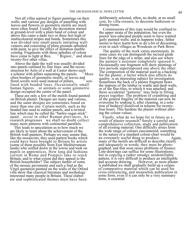Not all villas aspired to figure paintings on their walls; and various gay designs of panelling with leaves and flowers or geometric motifs are much more often found. Usually the decoration started at ground-level with a plain band of colour and above this came a dado two or three feet high of multicoloured stripes and bands. Sometimes this was divided into small panels imitating wallveneers and consisting of plain grounds splashed with paint, to give the effect of imitation marble veining. Fragments with these splashes of colour have come to light at Box,  $\frac{2}{3}$  Bignor,  $\frac{3}{3}$  and about twenty-five other villas.

Above the dado the wall was usually divided into panels outlined by fine lines: and the reconstruction by Artis of a wall at Castor shows such<br>a scheme with pillars separating the panels.  $^{24}$  More a scheme with pillars separating the panels. often borders of geometric motifs, or leaves and floral scrolls were used instead of pillars,  $25$  outlined with beaded lines. Occasionally small human figures or animals or some geometric design occupied the centre of the panel.

These are only a few of the motifs found painted on British plaster. Designs are many and various, and the same designs are sometimes found on more than one site. Certain motifs, such as the beaded line used to outline panels, and a twisted line which may be called the "barley-sugar-stick" motif, occur in other Roman provinces. As research progresses we shall no doubt collect many more patterns with continental parallels.

This leads to speculation as to how much we are likely to learn about the achievement of the British wall-painters. Perhaps we may asume that, like the mosaicists, they used pattern books which could have been brought to Britain by artists (some of them possibly from East Mediterranean lands) who settled down in the towns and took on pupils or apprentices. How long did fashions current in Rome and Pompeii take to reach Britain, and to what extent did they appeal to the British householder? The subject matter of some of the mosaic pavements and such a find as the Virgil quotation painted on the walls of the Otford villa show that classical literature and mythology interested many people in Britain. These elaborate and sophisticated themes must have been

deliberately selected, often, no doubt, at no small cost, by villa-owners, to decorate bathroom or dining-room.

Commissions of this type would be confined to the upper strata of the population, but even the poorer less-educated people seem to have wanted gaily painted walls; and as happens today, father seems to have learnt how to do a bit of decorating, even in such villages as Woodcuts or Park Brow.

The quality of the work varies enormously. In some cases we can distinguish the incised guide lines for the edge of a stripe, and also see where the painter's assistant completely ignored it. Occasionally one fragment will show paintings of two periods superimposed one above the other. The composition of the material used as a backing for the plaster, a factor which also affects its quality, is an interesting subject for investigation. Sometimes the back of a plaster fragment bears the impress of the timber or wattle and daub walls, or of the flue-tiles, to which it was attached, and these accidental "patterns" may help in fitting pieces together. The problem of crumbling and of the general fragility of the material can now be overcome by soaking it, after cleaning, in a solution of bedacryl dissolved in toluene for twentyfour hours. This hardens the plaster without altering the colour-values.

Finally, what do we hope for in future as a result of plaster research? Surely a careful and comprehensive collection, study and publication of all existing material. One difficulty arises from the wide range of colours encountered; something in the nature of a standard colour-chart would be<br>an extremely useful thing to produce. Again. an extremely useful thing to produce. many of the motifs are difficult to describe clearly and adequately in words; they must be photographed, and that soon raises problems of finance. Line-drawings can suffice for some illustrations; but in copying a rather smudgy unidentifiable pattern, it is very difficult to produce an intelligible<br>and accurate drawing. However, as more plaster However, as more plaster is published we shall gradually build up a corpus of comparative material which can be used for cross-referencing, and meanwhile publication in some form, even if it can only be a very summary form, is essential.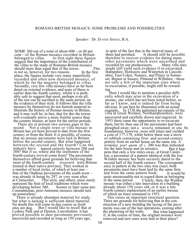*Speaker:* Dr. DAVID SMITH, B.A.

SOME 360 out of a total of about 600—or 60 per cent—of the Roman mosaics recorded in Britain<br>belonged to villas. At first sight these figures At first sight these figures. suggest that the importance of the contribution of the villas to the study of Romano-British mosaics should more than equal that of the towns. This<br>is not so, however, for two reasons. In the first is not so, however, for two reasons. place, the figures include very many imperfectly recorded and often now destroyed mosaics, of which by far the majority belonged to villas. Secondly, very few villa mosaics have so far been dated on external evidence, and none of these is earlier than the fourth century, whilst it is probably safe to suggest that most, perhaps even all, of the rest can be ascribed to the same period, on the evidence of their style. It follows that the villa mosaics by themselves do not furnish material to illustrate the history of Roman mosaic in Britain, and it may well be, in fact, that for this the towns will eventually prove a more fruitful source than the country houses, at least for the earlier periods.

There are at present two serious gaps in the record. Not a single town or villa mosaic i Not a single town or villa mosaic in Britain has yet been proved to date from the first century or from the third. It is possible, of course, that no mosaic pavements were laid in Britain before the second century. But what happened between the second and the fourth? Can the industry have lapsed entirely between 200 and 300? But if so, where did the craftsmen of the fourth-century revival come from? The pavements themselves afford good grounds for believing that most of the fourth-century *tesserarii* were Britc *tesserarii* were Britons trained in their native province. They worked in a number of local styles, of which at least one that of the Orpheus pavements of the south-west was already in being by 297, or very soon after, at Cirencester. This style, and others, must su This style, and others, must surely represent the fruit of local traditions which were<br>developing before 300. Sooner or later some Sooner or later some pre-Constantinian, post-Antonine mosaics should turn up somewhere.

There is already abundant material for study, but what is lacking is sufficient dated material. No doubt this will come in due course as fresh sites are dug. But I would like to recall that But I would like to recall that at Lydney Park and at Denton, Lincolnshire, it has proved possible to date pavements previously uncovered and recorded as long as 150 years ago,

in spite of the fact that in the interval many of<br>them had perished. It should still be poss It should still be possible. therefore to recover evidence for dating many other pavements which were unearthed and<br>recorded by our predecessors. Many villa sites recorded by our predecessors. might still yield such evidence if re-excavated. Hampshire, Horkstow and Winterton in Lincolnshire, East Coker, Nunney, and Pitney in Somerset, Bignor in Sussex, Pitmead in Wiltshire—these are only a few of the important sites where re-excavation, if possible, might still be rewarding.

Here I would like to mention a peculiar difficulty which may arise in the excavation of a mosaic, one which has not been noted before, so far as I know, and is indeed far from being obvious. It can best be illustrated with an actual example. In 1738 the patterned pavements of the villa at Great Weldon, Northamptonshire, were uncovered and carefully drawn and engraved. In 1953 there came the opportunity to re-excavate them, but by then one of the pavements had been ploughed away; not a *tessera* remained *in situ.* Its foundations, however, were still intact and yielded a coin of 177-178, while below them was a strew of rubbish containing first- and second-century pottery from an earlier house on the same site. A *terminus post quem of c.* 200 was thus indicated for the later house and its mosaics. But it hanfor the later house and its mosaics. pens that only a few miles away, at Great Casterton, a pavement of a pattern identical with the lost Weldon mosaic has been securely dated to the second half of the fourth century. The correspondence in pattern at the two sites was exact; both pavements must have been laid by the same firm and from the same pattern book. It would be quite unreasonable not to regard them as belonging<br>to the same period. Clearly, then, the Weldon Clearly, then, the Weldon mosaic was either a late innovation in a building already about 150 years old, or it was a late fourth-century replacement of an earlier mosaic of which no trace remained in 1953.

This raises an important structural question. There are grounds for believing that in the construction of a new building the laying of the pavements was one of the last operations, coming after the plastering of the walls. But what happened if, in the course of time, the original mosaics were removed and new ones were laid in their place?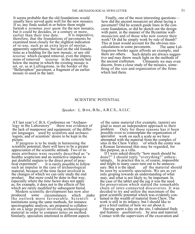It seems probable that the old foundations would usually have served quite well for the new mosaics. If so, any finds sealed in or below them might furnish a *terminus post quem* for the new mosaics, but it could be decades, or a century or more,<br>earlier than their true date. It is imperative, earlier than their true date. therefore, that the foundations of pavements be examined most closely for the slightest indication of re-use, such as an extra layer of mortar, apparently superfluous, but laid on the old foundations as a bedding for the new mosaic, or any old *tesserae* which escaped removal, even the impressions of removed *tesserae* in the concrete bed *tesserae* in the concrete bed below the mortar in which the existing mosaic is set, or, as at Lullingstone, in the border of the "Bellerophon" pavement, a fragment of an earlier mosaic re-used in the later.

Finally, one of the most interesting questions how did the ancient mosaicist set about laying a pavement? Did he scratch guide lines in the concrete foundation, or did he sketch out the design with paint, in the manner of the Byzantine wallmosaicists and of those who now restore their work? Or did he simply work by rule of thumb? This at least would account for the obvious miscalculations in some pavements. The same Lullingstone border again affords an example, and Such details are always suggestive and may throw much light on the methods of the ancient craftsmen. Ultimately we may even discern, from a close study of the mosaics, something of the size and organization of the firms which laid them.

#### SCIENTIFIC POTENTIAL

#### *Speaker:* L. BIEK, B.Sc., A.R.C.S., A.I.I.C.

AT last year's C.B.A. Conference on "Archaeology in the Laboratory" <sup>there</sup> was evidence of the lack of manpower and equipment; of the different languages used by scientists and archaeologists; and of scientists' desire to be kept in the picture.

If progress is to be made in harnessing the scientific potential, there will have to be a greater appreciation of the scientific attitude. Two of its main attributes were recently described as "a healthy scepticism and an instinctive impulse to put doubtful matters to the direct proof of prac-<br>tical experiment". It is rarely possible to follo It is rarely possible to follow such an impulse in the case of archaeological material, because of the time factor involved in the changes of which we can only study the end product. But more could be done in that way, especially where the time factor does not apply as, for example, it does not to the effects of fire which are rarely modified by subsequent burial.

Modern scientific development has now also<br>produced some circumstances which m circumstances which make the outlook more favourable. Scientifi c institutions using the same methods, for instance spectrographic analysis, are prepared to collaborate on a large project involving archaeological material in order to compare notes on method. Similarly, specialists interested in different aspects

of the same material (for example, tannin) are glad to meet an independent approach to their Only for those reasons has it been possible even to contemplate the organization of specialist work on such a scale as we have attempted with the material from the complex of sites in the Chew Valley  $\frac{1}{2}$  of which the centre was sites in the Chew Valley a Roman farmstead that may be regarded, for this purpose, as a villa.

If I were asked directly "how much should be done?" I should reply "everything!" unhesitatingly, In practice this is, of course, impossible and might in many cases turn out to be unneces-<br>sary. But it is the ideal:  $all$  the material show all the material should be seen by scientific specialists. We are as yet only groping towards an understanding of what may, and what is not likely to, be important. In the case of the tablet and the jug it was the need for preservation which started the remarkable chain of inter-connected discoveries. It was decided to try and utilize the maximum of the great scientific potential which was evidently contained in the wealth of material from Chew. The work is still in its infancy, but I should like to give a brief outline of how we set about it.

Having spent a day on the site, I tabulated finds and features *qualitatively*, by area and material.<sup>3</sup> Contact with the supervisors of the excavation and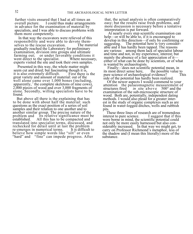further visits ensured that I had at all times an overall picture. I could thus make arrangements in advance for the examination of material by specialists, and I was able to discuss problems with them more competently.

In that way the excavators were relieved of this responsibility and were able to devote themselves to the rescue excavation. The material gradually reached the Laboratory for preliminary examination, division into groups and ultimate farming out; or under favorable conditions it<br>went direct to the specialist. Where necessary, went direct to the specialist. experts visited the site and took their own samples.

Presented in this way, the whole matter might seem cut and dried; but fascinating though it is,<br>it is also extremely difficult. First there is the it is also extremely difficult. great variety and amount of material: out of the well alone came over 1,000 bones (including, apparently, <sup>4</sup> the complete skeletons of nine cows), 2,000 pieces of wood and over 3,000 fragments of stone. Secondly, willing specialists have to be found.

But above all there is the explaining that has to be done with about half the material: such questions as the exact position of a series of soil samples and their relation to one another and to another similar group. The precise nature of the problem and its relative significance must be established. All this has to be compacted and All this has to be compacted and translated into specialist terms, discussed, and rechecked for detail until at last the problem<br>re-emerges in numerical terms. It is difficult to re-emerges in numerical terms. believe how simple words like "silt" or even "hard" and "fine" can impede progress. After

that, the actual analysis is often comparatively easy; but the results raise fresh problems, and more discussion is necessary before a tentative interpretation is put forward.

At nearly every step scientific examination can help—or will be able to, if it is encouraged to develop in this direction—if only by confirming or suggesting. The potential here is very consider-The potential here is very considerable and it has hardly been tapped. The reasons are various: among them lack of specialist labour and time and not, in my experience, interest; but mainly the absence of a fair appreciation of it either of what can be done by scientists, or of what is wanted by archaeologists.

Finally—does not scientific potential mean, in<br>most direct sense here, the possible value to its most direct sense here, the possible value to<br>pure science of archaeological evidence? This pure science of archaeological evidence? side of the potential has hardly been realized.

Of the newer aspects I would commend to your attention the palaeomagnetic measurement of structures fired in situ above  $500^{\circ}$  and the in situ above 500° and the examination of the sub-microscopic structure of wood. Both are, potentially, independent dating methods. I would also plead for a greater interest in the study of organic complexes such as are found in water-logged ditches, wells and rubbish pits.

These three lines of research are of tremendous terest to pure science. I suggest that if this interest to pure science. were borne in mind, the scientific potential could not only be more easily harnessed but also considerably increased. In that way we might get, to carry on Professor Richmond's metaphor, less of the shadow and (I mean this literally) more of the substance.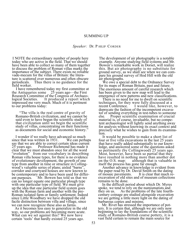#### SUMMING UP

#### *Speaker:* Dr. P HILIP CORDER

I NOTE the extraordinary number of people here today who are active in the field. That we should have been able to collect so many of them together to discuss the problem of Roman villas marks the importance of the subject. There exists no reliable vade-mecum for the villas of Britain: the literature is scattered over numerous and often obscure periodicals. Thus there is no guidance for the Thus there is no guidance for the field worker.

I have remembered today my first committee at the Antiquaries some 25 years ago—the First Research Committee of the Congress of Archaeo-<br>logical Societies. It produced a report which It produced a report which impressed me very much. Much of it is pertinent to our problems today:

"The villa is the real centre of gravity of Romano-British civilization, and we cannot be said even to have begun the scientific study of that civilization until we begin the scientific study of villas, concentrating on their functions as documents for social and economic history."

I wonder if we really have advanced so much<br>ince that was written in 1931. We can perhaps since that was written in  $1931$ . say that we are able to correct certain ideas current 25 years ago. Professor Richmond has made it Professor Richmond has made it clear that we must abandon once for all the word "evolution" from our vocabulary in describing Roman villa house types, for there is no evidence of evolutionary development, the growth of one type from another in time or structure in Collingwood's valuable series of plans; aisled "barns". corridor and courtyard houses are now known to be contemporary and to have been used for different purposes. Mr. Bowen has told us that we Mr. Bowen has told us that we can no longer equate one particular plough type with one particular type of field. We must give up the idea that one particular field system goes with the Roman farm and another with the pre-Roman isolated farm or family settlement. Indeed since Little Woodbury we have dropped the old facile distinction between villa and village, since we can now recognize these also as farms.

As it becomes less easy to generalize in the old way, so our problems are becoming more acute. What can we set against this? We now have certain 'tools' that hardly existed 25 years ago.

The development of air photography is a notable example. Anyone studying field systems and Mr. Bowen's remarkable work in Dorset, will realize this. But air photography is no substitute for ground survey, as we shall see when we can compare his ground survey of Hod Hill with the old air photographs.

We owe a special debt to the Ordnance Survey for its maps of Roman Britain, past and future. The enormous amount of careful research which has been given to the new map will lead to the emergence of new patterns and new classifications.

There is no need for me to dwell on scientific techniques, for they were fully discussed at a<br>recent Conference. I would like, however I would like, however, to deprecate the fashion of the incompetent excavator of sending everything in test-tubes to someone<br>else. Proper scientific examination of crucial Proper scientific examination of crucial material is, of course, invaluable, but no competent archaeologist will lightly send anything away for analysis without knowing its exact context and precisely what he wishes to gain from its examination.

It would be possible to make a short list of four or five villa excavations in the last 25 years that have really added substantially to our knowledge, and answered some of the questions asked so pertinently (by Collingwood)<sup>25</sup> years ago. Most, however, have been so partial that they have resulted in nothing more than another dot<br>on the O.S. map: although that is valuable in although that is valuable in itself the process has gone far enough.

Another advance in knowledge is evident from the paper read by Dr. David Smith on the dating<br>of mosaic pavements. It is clear that much re-It is clear that much reexcavation of old sites and of museum collections remains to be done.

In the difficult period about which Dr. Myres spoke, we tend to rely on the numismatists and they on us. As the problems of the late fourthcentury coinage are studied alongside excavation we are getting a little more light on the dating of barbarous copies and minims.

Mr. Rivet has stressed the importance of pottery. It is certain that, although we are only now beginning to lay the foundations of the scientific study of Romano-British coarse pottery, it is a vast field certain to remain the main source for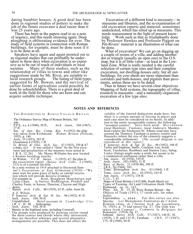dating humbler houses. A good deal has been done in regional studies of pottery to make the job of the future excavator a deal easier than it was 25 years ago.

There has been in the papers read to us a note of urgency, and this needs stressing again. Deep ploughing is obliterating evidence for ever. The study of field systems in connection with Roman buildings, for example, must be done soon if it is to be done at all.

Speakers have again and again pointed out to us regional studies that can profitably be undertaken in these days when excavation is so expensive as to be out of reach of individuals or local societies. Many of these studies, such as t Many of these studies, such as the relationship of villas to towns and other like suggestions made by Mr. Rivet, are suitable to<br>local research groups. The listing of field typ The listing of field types, suggested by Mr. Bowen, and the survival of earlier forms of agriculture could possibly be done by schoolchildren. There is a great deal of work in the field for those who are keen and can acquire suitable technique.

Excavation of a different kind is necessary—in museums and libraries, and the re-examination of old excavation reports and material, sometimes undocketed, which has silted up in museums. This needs reassessment in the light of present knowledge. Work such as that so triumphantly done by Professor Hawkes and Professor Piggott on Pitt-Rivers' material is an illustration of what can be done.

What of excavation? We can go on digging up a couple of rooms of a villa, and adding another dot or triangle (usually an open one) to the O.S. map, but it is of little value—at least in the Lowland Zone. What is really needed is the careful selection of certain type sites and their complete excavation, not dwelling-houses only, but all outbuildings, for cow-sheds are more important than corridors and bath-houses, and pigsties than pavements, unless these are to be dated.

Thus in future we have several clear objectives. Mapping of field systems, the topography of villas, research in museums—and a nationally-organized excavation of a few type sites.

#### **NOTES AND REFERENCES**

THE DISTRIBUTION OF ROMAN VILLAS IN BRITAIN

- 1 The Ordnance Survey Map of Roman Britain, 3rd edn.
- P.P.S., n.s. 6 (1940), 30 ff., *Arch. Journ.,* 104 (1947), 27 ff.
- 3 Soc. *of Ants. Res. Comm. Rep.* 9 (1932): the slide was taken from Richmond: *Roman Britain* (Pelican,
- 1955). p. 140. Arch., 35 (1853), 383 ff. 4
- 5 Oxoniensia 4 (1939), 1 ff.
- 6 Tr. *Bristol & Glos. Arch. Soc.,* 47 (1925), 350 & 67 (1948), 415. It was called a "farm" by the first excavator and peculiarities of the masonry were noted in J. R. S., 12, 261. Mr. Moray-Williams has now located
- a Roman building nearby. At Wiston, *V.C.H. Sussex,* 3 (1935), 67: the plan in 7 the excavation report *(Sussex Arch. Colls.,* 2 (1849), 313) is of a normal tile-kiln.
- 8 In a note written in 1914 attached to Heywood Sumner's *Excavations at East Grimstead* (1924)—"We must wait for some piece of lucky or careful excavation which will provide decisive evidence.
- 9 For example in Kent, Boughton Monchelsea and Little Chart; in Surrey, Beddington, Pendell and Chatley Farm; in Sussex, Duncton, Clayton and High-
- <sup>1</sup> 0 down.<br>Sussex *Arch. Colls.*, 80 (1939), 63 ff.; infm. from Dr. A. E. Wilson.
- 1 1 P. *Somerset Arch. & Nat. H. Soc.,* 96 (1952), 41 ff. 1 2
- Arch. *Journ.*, 104, 50 ff.<br>Unpublished. Brief
- 1 3 Brief account in *Cambridge City* forthcoming).
- (R.C.H.M., forthcoming). Arch. *Journ.,* 104, 36 ff. 1 4
- 1 5 Mainly in the highland zone, including Cornwall. 1 6 The groups were produced by drawing circles round the main centres and chords where they intersected; they are therefore arbitrary and several alternative arrangements are possible. This does not affect the

validity of the limited deductions made here, but there is a certain amount of forcing in places and each case must be considered on its merits. In addition to the easily recognizable centres, the following<br>"assumed centres" have been used: Moridus have been used: *Moridunum* (near Honiton), *Vindomis* (near Andover), Maiden-head (where the Silchester-St. Albans road may have crossed the Thames), Farnham (a pottery centre) and Hassocks (where the size of the cemetery suggests a considerable settlement). (The second diagram is considerable settlement). *(The second diagram is not*

- reproduced in this report.)<br>
<sup>1</sup> P. Somerset Arch. & Nat. H. Soc., 96 (1952), 188 ff.<br>
<sup>1</sup> s Tyrley and Engleton, Staffs., Cruckton, Lea, Acton Scott, Yarchester, Rushbury and Stanton Lacy, Salop, Linley (Salop) might make a ninth, but seems to be a communical settlement rather than a villa.
- 
- <sup>1</sup>, Ant. *Journ.*, 18 (1938), 339 ff.<br>Arch. *Journ.*, 102 (1945), 21 ff.
- 2 1
- 2 2
- <sup>2</sup> Recs. *of Bucks.*, 31 (1934-40), 398 ff.<br><sup>2 2</sup> J.R.S., 28 (1948), 183.<br>Trans. *Birmingham Arch. Soc.*, 63 (1944). 1 ff.
- 2 4 Trans. *Leics. Arch. Soc.,* 18 (1935), 163 ff.
- 2 5 Ant. *Journ.,* 17 (1937), 138 ff.
- 2 6 C.I.L., 7, 62.
- 2 7 Maps of Great Britain (1/625,000, South Sheet) (a) Types of Farming. (b) Land Utilisation (both 1944). 2 8
- 
- Richmond, *op. cit.,* 163. Pliny: *Nat. H.,* 15, 30. West: Roman Britain—the 2 9 Objects of Trade (1931), 17 (with refs. for other fruits).
- <sup>3</sup> Esperandieu v, 4044. For this series see also Mariën: Les Monuments Funéraires de l'Arlon Romain *(Anns. de l'Institut Arch. du Luxembourg.,* 76, 1945), p. 75 and (poor) fig. 27. The slide was taken fróm Cumont<sup>3</sup>: *Comment la Belgique fut*<br>*Romanisée* (1914), fig. 37.<br>Ashtead, *Surrey Arch. Colls.,* 37 (1927), 144 ff.; 38.
- 3 1 (1929), 1 ff. and 132 ff.; Farnham *J.R.S.,* 37 (1947), 175; 38 (1948), 94 ff.